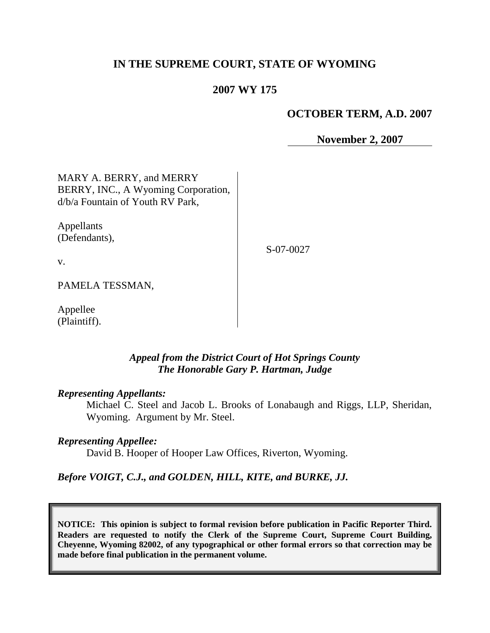# **IN THE SUPREME COURT, STATE OF WYOMING**

# **2007 WY 175**

# **OCTOBER TERM, A.D. 2007**

**November 2, 2007**

MARY A. BERRY, and MERRY BERRY, INC., A Wyoming Corporation, d/b/a Fountain of Youth RV Park,

Appellants (Defendants),

S-07-0027

v.

PAMELA TESSMAN,

Appellee (Plaintiff).

## *Appeal from the District Court of Hot Springs County The Honorable Gary P. Hartman, Judge*

## *Representing Appellants:*

Michael C. Steel and Jacob L. Brooks of Lonabaugh and Riggs, LLP, Sheridan, Wyoming. Argument by Mr. Steel.

### *Representing Appellee:*

David B. Hooper of Hooper Law Offices, Riverton, Wyoming.

# *Before VOIGT, C.J., and GOLDEN, HILL, KITE, and BURKE, JJ.*

**NOTICE: This opinion is subject to formal revision before publication in Pacific Reporter Third. Readers are requested to notify the Clerk of the Supreme Court, Supreme Court Building, Cheyenne, Wyoming 82002, of any typographical or other formal errors so that correction may be made before final publication in the permanent volume.**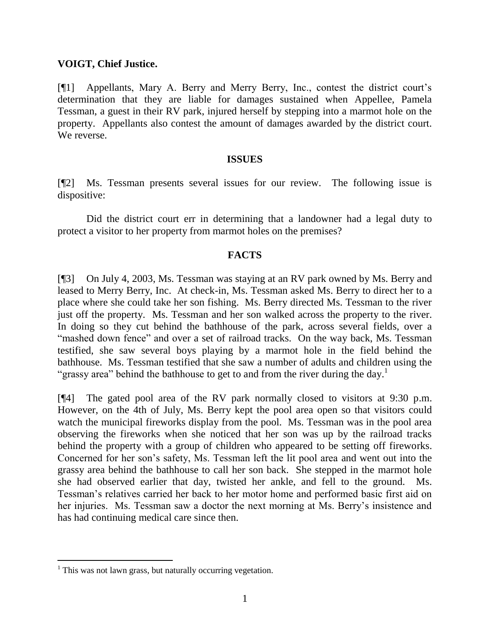### **VOIGT, Chief Justice.**

[¶1] Appellants, Mary A. Berry and Merry Berry, Inc., contest the district court's determination that they are liable for damages sustained when Appellee, Pamela Tessman, a guest in their RV park, injured herself by stepping into a marmot hole on the property. Appellants also contest the amount of damages awarded by the district court. We reverse.

### **ISSUES**

[¶2] Ms. Tessman presents several issues for our review. The following issue is dispositive:

Did the district court err in determining that a landowner had a legal duty to protect a visitor to her property from marmot holes on the premises?

## **FACTS**

[¶3] On July 4, 2003, Ms. Tessman was staying at an RV park owned by Ms. Berry and leased to Merry Berry, Inc. At check-in, Ms. Tessman asked Ms. Berry to direct her to a place where she could take her son fishing. Ms. Berry directed Ms. Tessman to the river just off the property. Ms. Tessman and her son walked across the property to the river. In doing so they cut behind the bathhouse of the park, across several fields, over a "mashed down fence" and over a set of railroad tracks. On the way back, Ms. Tessman testified, she saw several boys playing by a marmot hole in the field behind the bathhouse. Ms. Tessman testified that she saw a number of adults and children using the "grassy area" behind the bathhouse to get to and from the river during the day.<sup>1</sup>

[¶4] The gated pool area of the RV park normally closed to visitors at 9:30 p.m. However, on the 4th of July, Ms. Berry kept the pool area open so that visitors could watch the municipal fireworks display from the pool. Ms. Tessman was in the pool area observing the fireworks when she noticed that her son was up by the railroad tracks behind the property with a group of children who appeared to be setting off fireworks. Concerned for her son's safety, Ms. Tessman left the lit pool area and went out into the grassy area behind the bathhouse to call her son back. She stepped in the marmot hole she had observed earlier that day, twisted her ankle, and fell to the ground. Ms. Tessman's relatives carried her back to her motor home and performed basic first aid on her injuries. Ms. Tessman saw a doctor the next morning at Ms. Berry's insistence and has had continuing medical care since then.

 $\overline{a}$ 

 $1$ <sup>1</sup> This was not lawn grass, but naturally occurring vegetation.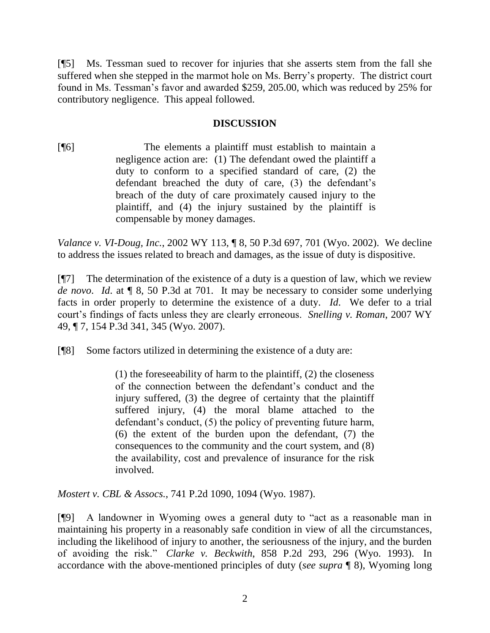[¶5] Ms. Tessman sued to recover for injuries that she asserts stem from the fall she suffered when she stepped in the marmot hole on Ms. Berry's property. The district court found in Ms. Tessman's favor and awarded \$259, 205.00, which was reduced by 25% for contributory negligence. This appeal followed.

# **DISCUSSION**

[¶6] The elements a plaintiff must establish to maintain a negligence action are: (1) The defendant owed the plaintiff a duty to conform to a specified standard of care, (2) the defendant breached the duty of care, (3) the defendant's breach of the duty of care proximately caused injury to the plaintiff, and (4) the injury sustained by the plaintiff is compensable by money damages.

*Valance v. VI-Doug, Inc.*, 2002 WY 113, ¶ 8, 50 P.3d 697, 701 (Wyo. 2002). We decline to address the issues related to breach and damages, as the issue of duty is dispositive.

 $[$ [ $\degree$ ] The determination of the existence of a duty is a question of law, which we review *de novo*. *Id*. at ¶ 8, 50 P.3d at 701. It may be necessary to consider some underlying facts in order properly to determine the existence of a duty. *Id*. We defer to a trial court's findings of facts unless they are clearly erroneous. *Snelling v. Roman*, 2007 WY 49, ¶ 7, 154 P.3d 341, 345 (Wyo. 2007).

[¶8] Some factors utilized in determining the existence of a duty are:

(1) the foreseeability of harm to the plaintiff, (2) the closeness of the connection between the defendant's conduct and the injury suffered, (3) the degree of certainty that the plaintiff suffered injury, (4) the moral blame attached to the defendant's conduct, (5) the policy of preventing future harm, (6) the extent of the burden upon the defendant, (7) the consequences to the community and the court system, and (8) the availability, cost and prevalence of insurance for the risk involved.

*Mostert v. CBL & Assocs.*, 741 P.2d 1090, 1094 (Wyo. 1987).

[¶9] A landowner in Wyoming owes a general duty to "act as a reasonable man in maintaining his property in a reasonably safe condition in view of all the circumstances, including the likelihood of injury to another, the seriousness of the injury, and the burden of avoiding the risk." *Clarke v. Beckwith*, 858 P.2d 293, 296 (Wyo. 1993). In accordance with the above-mentioned principles of duty (*see supra* ¶ 8), Wyoming long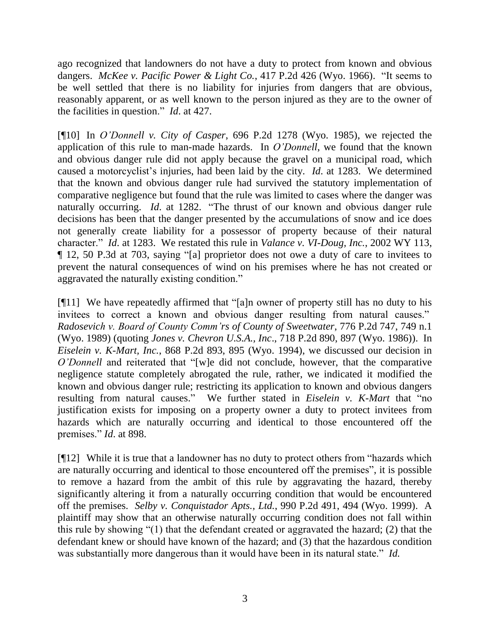ago recognized that landowners do not have a duty to protect from known and obvious dangers. *McKee v. Pacific Power & Light Co.*, 417 P.2d 426 (Wyo. 1966). "It seems to be well settled that there is no liability for injuries from dangers that are obvious, reasonably apparent, or as well known to the person injured as they are to the owner of the facilities in question." *Id*. at 427.

[¶10] In *O'Donnell v. City of Casper*, 696 P.2d 1278 (Wyo. 1985), we rejected the application of this rule to man-made hazards. In *O'Donnell*, we found that the known and obvious danger rule did not apply because the gravel on a municipal road, which caused a motorcyclist's injuries, had been laid by the city. *Id*. at 1283. We determined that the known and obvious danger rule had survived the statutory implementation of comparative negligence but found that the rule was limited to cases where the danger was naturally occurring. *Id*. at 1282. "The thrust of our known and obvious danger rule decisions has been that the danger presented by the accumulations of snow and ice does not generally create liability for a possessor of property because of their natural character." *Id*. at 1283. We restated this rule in *Valance v. VI-Doug, Inc.*, 2002 WY 113, ¶ 12, 50 P.3d at 703, saying "[a] proprietor does not owe a duty of care to invitees to prevent the natural consequences of wind on his premises where he has not created or aggravated the naturally existing condition."

[¶11] We have repeatedly affirmed that "[a]n owner of property still has no duty to his invitees to correct a known and obvious danger resulting from natural causes." *Radosevich v. Board of County Comm'rs of County of Sweetwater*, 776 P.2d 747, 749 n.1 (Wyo. 1989) (quoting *Jones v. Chevron U.S.A., Inc*., 718 P.2d 890, 897 (Wyo. 1986)). In *Eiselein v. K-Mart, Inc.*, 868 P.2d 893, 895 (Wyo. 1994), we discussed our decision in *O'Donnell* and reiterated that "[w]e did not conclude, however, that the comparative negligence statute completely abrogated the rule, rather, we indicated it modified the known and obvious danger rule; restricting its application to known and obvious dangers resulting from natural causes." We further stated in *Eiselein v. K-Mart* that "no justification exists for imposing on a property owner a duty to protect invitees from hazards which are naturally occurring and identical to those encountered off the premises." *Id*. at 898.

[¶12] While it is true that a landowner has no duty to protect others from "hazards which are naturally occurring and identical to those encountered off the premises", it is possible to remove a hazard from the ambit of this rule by aggravating the hazard, thereby significantly altering it from a naturally occurring condition that would be encountered off the premises. *Selby v. Conquistador Apts., Ltd.*, 990 P.2d 491, 494 (Wyo. 1999). A plaintiff may show that an otherwise naturally occurring condition does not fall within this rule by showing "(1) that the defendant created or aggravated the hazard; (2) that the defendant knew or should have known of the hazard; and (3) that the hazardous condition was substantially more dangerous than it would have been in its natural state." *Id.*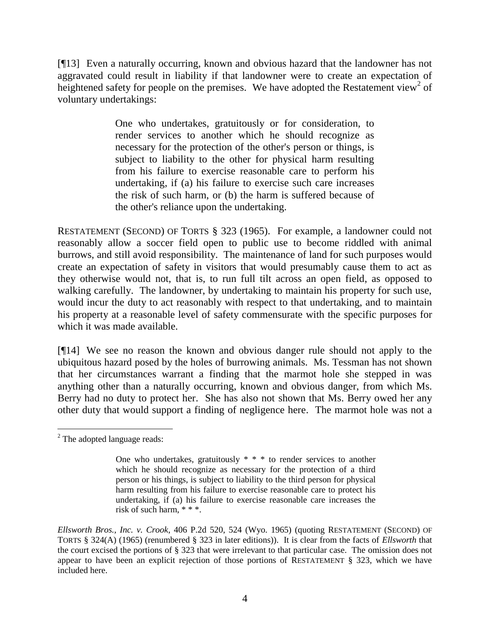[¶13] Even a naturally occurring, known and obvious hazard that the landowner has not aggravated could result in liability if that landowner were to create an expectation of heightened safety for people on the premises. We have adopted the Restatement view<sup>2</sup> of voluntary undertakings:

> One who undertakes, gratuitously or for consideration, to render services to another which he should recognize as necessary for the protection of the other's person or things, is subject to liability to the other for physical harm resulting from his failure to exercise reasonable care to perform his undertaking, if (a) his failure to exercise such care increases the risk of such harm, or (b) the harm is suffered because of the other's reliance upon the undertaking.

RESTATEMENT (SECOND) OF TORTS § 323 (1965). For example, a landowner could not reasonably allow a soccer field open to public use to become riddled with animal burrows, and still avoid responsibility. The maintenance of land for such purposes would create an expectation of safety in visitors that would presumably cause them to act as they otherwise would not, that is, to run full tilt across an open field, as opposed to walking carefully. The landowner, by undertaking to maintain his property for such use, would incur the duty to act reasonably with respect to that undertaking, and to maintain his property at a reasonable level of safety commensurate with the specific purposes for which it was made available.

[¶14] We see no reason the known and obvious danger rule should not apply to the ubiquitous hazard posed by the holes of burrowing animals. Ms. Tessman has not shown that her circumstances warrant a finding that the marmot hole she stepped in was anything other than a naturally occurring, known and obvious danger, from which Ms. Berry had no duty to protect her. She has also not shown that Ms. Berry owed her any other duty that would support a finding of negligence here. The marmot hole was not a

 <sup>2</sup> The adopted language reads:

One who undertakes, gratuitously  $* * *$  to render services to another which he should recognize as necessary for the protection of a third person or his things, is subject to liability to the third person for physical harm resulting from his failure to exercise reasonable care to protect his undertaking, if (a) his failure to exercise reasonable care increases the risk of such harm, \* \* \*.

*Ellsworth Bros., Inc. v. Crook*, 406 P.2d 520, 524 (Wyo. 1965) (quoting RESTATEMENT (SECOND) OF TORTS § 324(A) (1965) (renumbered § 323 in later editions)). It is clear from the facts of *Ellsworth* that the court excised the portions of § 323 that were irrelevant to that particular case. The omission does not appear to have been an explicit rejection of those portions of RESTATEMENT § 323, which we have included here.